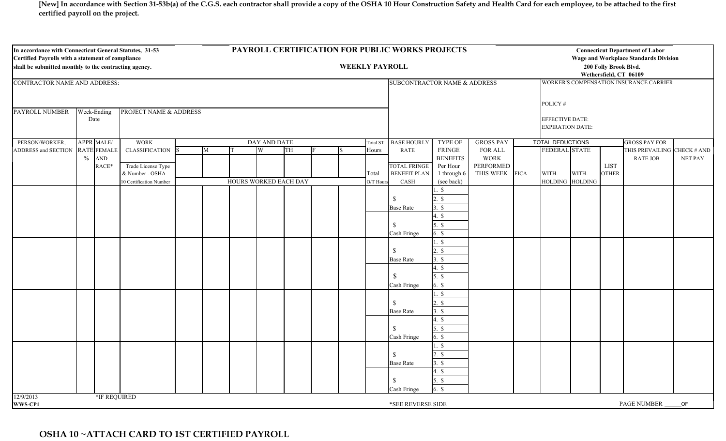**[New] In accordance with Section 31-53b(a) of the C.G.S. each contractor shall provide a copy of the OSHA 10 Hour Construction Safety and Health Card for each employee, to be attached to the first certified payroll on the project.**

| In accordance with Connecticut General Statutes, 31-53<br>Certified Payrolls with a statement of compliance<br>shall be submitted monthly to the contracting agency. |                               |                                         |  |   |                       | PAYROLL CERTIFICATION FOR PUBLIC WORKS PROJECTS<br><b>WEEKLY PAYROLL</b> |    |                              |  |           |                                                                                                    |                               |                                                       |         |                         | <b>Connecticut Department of Labor</b><br><b>Wage and Workplace Standards Division</b><br>200 Folly Brook Blvd.<br>Wethersfield, CT 06109 |                             |                                                |         |  |  |
|----------------------------------------------------------------------------------------------------------------------------------------------------------------------|-------------------------------|-----------------------------------------|--|---|-----------------------|--------------------------------------------------------------------------|----|------------------------------|--|-----------|----------------------------------------------------------------------------------------------------|-------------------------------|-------------------------------------------------------|---------|-------------------------|-------------------------------------------------------------------------------------------------------------------------------------------|-----------------------------|------------------------------------------------|---------|--|--|
| CONTRACTOR NAME AND ADDRESS:                                                                                                                                         |                               |                                         |  |   |                       |                                                                          |    | SUBCONTRACTOR NAME & ADDRESS |  |           |                                                                                                    |                               | WORKER'S COMPENSATION INSURANCE CARRIER               |         |                         |                                                                                                                                           |                             |                                                |         |  |  |
| PAYROLL NUMBER<br><b>PROJECT NAME &amp; ADDRESS</b><br>Week-Ending                                                                                                   |                               |                                         |  |   |                       |                                                                          |    |                              |  |           |                                                                                                    |                               |                                                       | POLICY# |                         |                                                                                                                                           |                             |                                                |         |  |  |
|                                                                                                                                                                      | Date                          |                                         |  |   |                       |                                                                          |    |                              |  |           |                                                                                                    |                               | <b>EFFECTIVE DATE:</b><br><b>EXPIRATION DATE:</b>     |         |                         |                                                                                                                                           |                             |                                                |         |  |  |
| PERSON/WORKER,                                                                                                                                                       | <b>APPR MALE/</b>             | <b>WORK</b><br>DAY AND DATE<br>Total ST |  |   |                       |                                                                          |    |                              |  |           |                                                                                                    | <b>TYPE OF</b>                | <b>GROSS PAY</b>                                      |         | <b>TOTAL DEDUCTIONS</b> |                                                                                                                                           |                             | <b>GROSS PAY FOR</b>                           |         |  |  |
| ADDRESS and SECTION RATE FEMALE                                                                                                                                      |                               | <b>CLASSIFICATION</b>                   |  | M |                       | W                                                                        | TH |                              |  | Hours     | RATE<br><b>FRINGE</b><br><b>BENEFITS</b><br><b>TOTAL FRINGE</b><br>Per Hour<br><b>BENEFIT PLAN</b> |                               | FOR ALL<br><b>WORK</b><br>PERFORMED<br>THIS WEEK FICA |         | FEDERAL STATE           |                                                                                                                                           | <b>LIST</b><br><b>OTHER</b> | THIS PREVAILING CHECK # AND<br><b>RATE JOB</b> | NET PAY |  |  |
|                                                                                                                                                                      | $\frac{0}{0}$<br>AND<br>RACE* | Trade License Type<br>& Number - OSHA   |  |   |                       |                                                                          |    |                              |  | Total     |                                                                                                    | 1 through 6                   |                                                       |         | WITH-                   | WITH-                                                                                                                                     |                             |                                                |         |  |  |
|                                                                                                                                                                      |                               | 10 Certification Number                 |  |   | HOURS WORKED EACH DAY |                                                                          |    |                              |  | O/T Hours | CASH                                                                                               | (see back)                    |                                                       |         | HOLDING HOLDING         |                                                                                                                                           |                             |                                                |         |  |  |
|                                                                                                                                                                      |                               |                                         |  |   |                       |                                                                          |    |                              |  |           | <sup>S</sup>                                                                                       | 1. \$<br>$2. \,$ \$           |                                                       |         |                         |                                                                                                                                           |                             |                                                |         |  |  |
|                                                                                                                                                                      |                               |                                         |  |   |                       |                                                                          |    |                              |  |           | <b>Base Rate</b>                                                                                   | $3. \ S$                      |                                                       |         |                         |                                                                                                                                           |                             |                                                |         |  |  |
|                                                                                                                                                                      |                               |                                         |  |   |                       |                                                                          |    |                              |  |           |                                                                                                    | 4. \$                         |                                                       |         |                         |                                                                                                                                           |                             |                                                |         |  |  |
|                                                                                                                                                                      |                               |                                         |  |   |                       |                                                                          |    |                              |  |           | $\mathcal{S}$<br>Cash Fringe                                                                       | $5. \ S$<br>$6.$ \$           |                                                       |         |                         |                                                                                                                                           |                             |                                                |         |  |  |
|                                                                                                                                                                      |                               |                                         |  |   |                       |                                                                          |    |                              |  |           | <sup>S</sup>                                                                                       | $1. \ S$<br>$2. \ S$          |                                                       |         |                         |                                                                                                                                           |                             |                                                |         |  |  |
|                                                                                                                                                                      |                               |                                         |  |   |                       |                                                                          |    |                              |  |           | <b>Base Rate</b>                                                                                   | $3. \ S$                      |                                                       |         |                         |                                                                                                                                           |                             |                                                |         |  |  |
|                                                                                                                                                                      |                               |                                         |  |   |                       |                                                                          |    |                              |  |           |                                                                                                    | 4. $\$\$                      |                                                       |         |                         |                                                                                                                                           |                             |                                                |         |  |  |
|                                                                                                                                                                      |                               |                                         |  |   |                       |                                                                          |    |                              |  |           | $\mathbb{S}$<br>Cash Fringe                                                                        | $5. \ S$<br>$6.$ \$           |                                                       |         |                         |                                                                                                                                           |                             |                                                |         |  |  |
|                                                                                                                                                                      |                               |                                         |  |   |                       |                                                                          |    |                              |  |           |                                                                                                    | $1.$ \$                       |                                                       |         |                         |                                                                                                                                           |                             |                                                |         |  |  |
|                                                                                                                                                                      |                               |                                         |  |   |                       |                                                                          |    |                              |  |           | $\mathcal{S}$                                                                                      | $2. \ S$                      |                                                       |         |                         |                                                                                                                                           |                             |                                                |         |  |  |
|                                                                                                                                                                      |                               |                                         |  |   |                       |                                                                          |    |                              |  |           | <b>Base Rate</b>                                                                                   | $3. \ S$<br>$4.$ \$           |                                                       |         |                         |                                                                                                                                           |                             |                                                |         |  |  |
|                                                                                                                                                                      |                               |                                         |  |   |                       |                                                                          |    |                              |  |           | -S                                                                                                 | $5. \ S$                      |                                                       |         |                         |                                                                                                                                           |                             |                                                |         |  |  |
|                                                                                                                                                                      |                               |                                         |  |   |                       |                                                                          |    |                              |  |           | Cash Fringe                                                                                        | $6. \,$ \$                    |                                                       |         |                         |                                                                                                                                           |                             |                                                |         |  |  |
|                                                                                                                                                                      |                               |                                         |  |   |                       |                                                                          |    |                              |  |           |                                                                                                    | $1. \S$                       |                                                       |         |                         |                                                                                                                                           |                             |                                                |         |  |  |
|                                                                                                                                                                      |                               |                                         |  |   |                       |                                                                          |    |                              |  |           | $\mathbb{S}$                                                                                       | $2. \text{ s}$                |                                                       |         |                         |                                                                                                                                           |                             |                                                |         |  |  |
|                                                                                                                                                                      |                               |                                         |  |   |                       |                                                                          |    |                              |  |           | <b>Base Rate</b>                                                                                   | $3. \ S$                      |                                                       |         |                         |                                                                                                                                           |                             |                                                |         |  |  |
|                                                                                                                                                                      |                               |                                         |  |   |                       |                                                                          |    |                              |  |           | -S<br>Cash Fringe                                                                                  | $4.$ \$<br>$5.$ \$<br>$6.$ \$ |                                                       |         |                         |                                                                                                                                           |                             |                                                |         |  |  |
| 12/9/2013<br>WWS-CP1                                                                                                                                                 |                               | *IF REQUIRED                            |  |   |                       |                                                                          |    |                              |  |           | *SEE REVERSE SIDE                                                                                  |                               |                                                       |         |                         |                                                                                                                                           |                             | PAGE NUMBER                                    | OF      |  |  |

## **OSHA 10 ~ATTACH CARD TO 1ST CERTIFIED PAYROLL**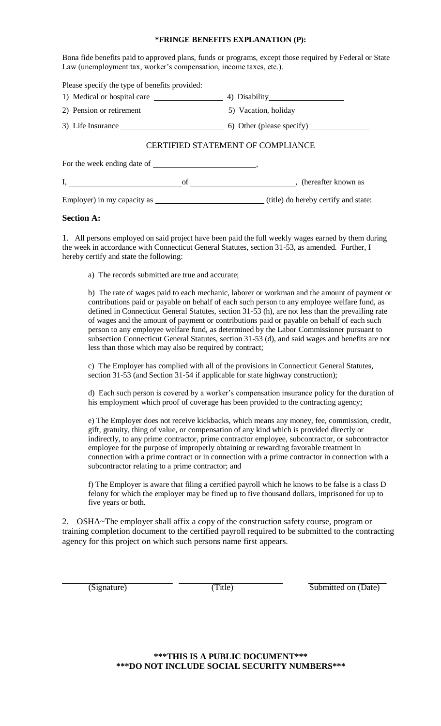## **\*FRINGE BENEFITS EXPLANATION (P):**

Bona fide benefits paid to approved plans, funds or programs, except those required by Federal or State Law (unemployment tax, worker's compensation, income taxes, etc.).

| Please specify the type of benefits provided: |    |                                          |  |  |  |  |  |  |  |  |
|-----------------------------------------------|----|------------------------------------------|--|--|--|--|--|--|--|--|
|                                               |    |                                          |  |  |  |  |  |  |  |  |
|                                               |    |                                          |  |  |  |  |  |  |  |  |
|                                               |    |                                          |  |  |  |  |  |  |  |  |
|                                               |    | <b>CERTIFIED STATEMENT OF COMPLIANCE</b> |  |  |  |  |  |  |  |  |
|                                               |    |                                          |  |  |  |  |  |  |  |  |
|                                               | of | (hereafter known as                      |  |  |  |  |  |  |  |  |

Employer) in my capacity as (title) do hereby certify and state:

## **Section A:**

1. All persons employed on said project have been paid the full weekly wages earned by them during the week in accordance with Connecticut General Statutes, section 31-53, as amended. Further, I hereby certify and state the following:

a) The records submitted are true and accurate;

 b) The rate of wages paid to each mechanic, laborer or workman and the amount of payment or contributions paid or payable on behalf of each such person to any employee welfare fund, as defined in Connecticut General Statutes, section 31-53 (h), are not less than the prevailing rate of wages and the amount of payment or contributions paid or payable on behalf of each such person to any employee welfare fund, as determined by the Labor Commissioner pursuant to subsection Connecticut General Statutes, section 31-53 (d), and said wages and benefits are not less than those which may also be required by contract;

 c) The Employer has complied with all of the provisions in Connecticut General Statutes, section 31-53 (and Section 31-54 if applicable for state highway construction);

d) Each such person is covered by a worker's compensation insurance policy for the duration of his employment which proof of coverage has been provided to the contracting agency;

 e) The Employer does not receive kickbacks, which means any money, fee, commission, credit, gift, gratuity, thing of value, or compensation of any kind which is provided directly or indirectly, to any prime contractor, prime contractor employee, subcontractor, or subcontractor employee for the purpose of improperly obtaining or rewarding favorable treatment in connection with a prime contract or in connection with a prime contractor in connection with a subcontractor relating to a prime contractor; and

 f) The Employer is aware that filing a certified payroll which he knows to be false is a class D felony for which the employer may be fined up to five thousand dollars, imprisoned for up to five years or both.

2. OSHA~The employer shall affix a copy of the construction safety course, program or training completion document to the certified payroll required to be submitted to the contracting agency for this project on which such persons name first appears.

(Signature) (Title) 5ubmitted on (Date)

**\*\*\*THIS IS A PUBLIC DOCUMENT\*\*\* \*\*\*DO NOT INCLUDE SOCIAL SECURITY NUMBERS\*\*\***